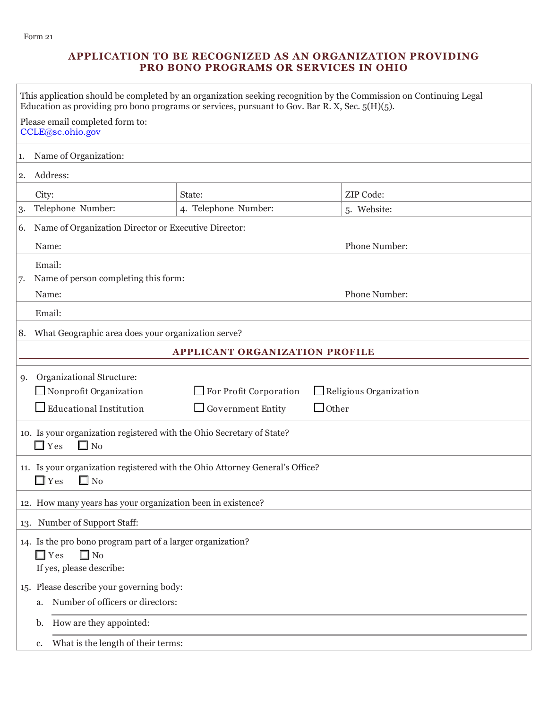# **APPLICATION TO BE RECOGNIZED AS AN ORGANIZATION PROVIDING PRO BONO PROGRAMS OR SERVICES IN OHIO**

| This application should be completed by an organization seeking recognition by the Commission on Continuing Legal<br>Education as providing pro bono programs or services, pursuant to Gov. Bar R. X, Sec. $5(H)(5)$ . |                                                                                                            |                                                             |                                                  |               |             |  |  |
|------------------------------------------------------------------------------------------------------------------------------------------------------------------------------------------------------------------------|------------------------------------------------------------------------------------------------------------|-------------------------------------------------------------|--------------------------------------------------|---------------|-------------|--|--|
|                                                                                                                                                                                                                        |                                                                                                            | Please email completed form to:<br>CCLE@sc.ohio.gov         |                                                  |               |             |  |  |
| Name of Organization:<br>1.                                                                                                                                                                                            |                                                                                                            |                                                             |                                                  |               |             |  |  |
| 2.                                                                                                                                                                                                                     |                                                                                                            | Address:                                                    |                                                  |               |             |  |  |
|                                                                                                                                                                                                                        | City:                                                                                                      |                                                             | State:                                           |               | ZIP Code:   |  |  |
| 3.                                                                                                                                                                                                                     |                                                                                                            | Telephone Number:                                           | 4. Telephone Number:                             |               | 5. Website: |  |  |
| 6.                                                                                                                                                                                                                     |                                                                                                            | Name of Organization Director or Executive Director:        |                                                  |               |             |  |  |
|                                                                                                                                                                                                                        | Name:                                                                                                      |                                                             |                                                  | Phone Number: |             |  |  |
|                                                                                                                                                                                                                        | Email:                                                                                                     |                                                             |                                                  |               |             |  |  |
| 7.                                                                                                                                                                                                                     |                                                                                                            | Name of person completing this form:                        |                                                  |               |             |  |  |
|                                                                                                                                                                                                                        | Name:                                                                                                      |                                                             |                                                  | Phone Number: |             |  |  |
|                                                                                                                                                                                                                        |                                                                                                            | Email:                                                      |                                                  |               |             |  |  |
| 8.                                                                                                                                                                                                                     | What Geographic area does your organization serve?                                                         |                                                             |                                                  |               |             |  |  |
| <b>APPLICANT ORGANIZATION PROFILE</b>                                                                                                                                                                                  |                                                                                                            |                                                             |                                                  |               |             |  |  |
| 9.                                                                                                                                                                                                                     | Organizational Structure:                                                                                  |                                                             |                                                  |               |             |  |  |
|                                                                                                                                                                                                                        |                                                                                                            | Nonprofit Organization                                      | For Profit Corporation<br>Religious Organization |               |             |  |  |
|                                                                                                                                                                                                                        |                                                                                                            | $\Box$ Educational Institution                              | Government Entity                                | $\Box$ Other  |             |  |  |
|                                                                                                                                                                                                                        | 10. Is your organization registered with the Ohio Secretary of State?<br>$\square$ No<br>$\Box$ Yes        |                                                             |                                                  |               |             |  |  |
|                                                                                                                                                                                                                        | 11. Is your organization registered with the Ohio Attorney General's Office?<br>$\Box$ Yes<br>$\square$ No |                                                             |                                                  |               |             |  |  |
|                                                                                                                                                                                                                        |                                                                                                            | 12. How many years has your organization been in existence? |                                                  |               |             |  |  |
| Number of Support Staff:<br>13.                                                                                                                                                                                        |                                                                                                            |                                                             |                                                  |               |             |  |  |
|                                                                                                                                                                                                                        | 14. Is the pro bono program part of a larger organization?                                                 |                                                             |                                                  |               |             |  |  |
|                                                                                                                                                                                                                        | $\square$ No<br>$\Box$ Yes                                                                                 |                                                             |                                                  |               |             |  |  |
| If yes, please describe:                                                                                                                                                                                               |                                                                                                            |                                                             |                                                  |               |             |  |  |
|                                                                                                                                                                                                                        |                                                                                                            | 15. Please describe your governing body:                    |                                                  |               |             |  |  |
|                                                                                                                                                                                                                        | a.                                                                                                         | Number of officers or directors:                            |                                                  |               |             |  |  |
|                                                                                                                                                                                                                        | b.                                                                                                         | How are they appointed:                                     |                                                  |               |             |  |  |
|                                                                                                                                                                                                                        | What is the length of their terms:<br>c.                                                                   |                                                             |                                                  |               |             |  |  |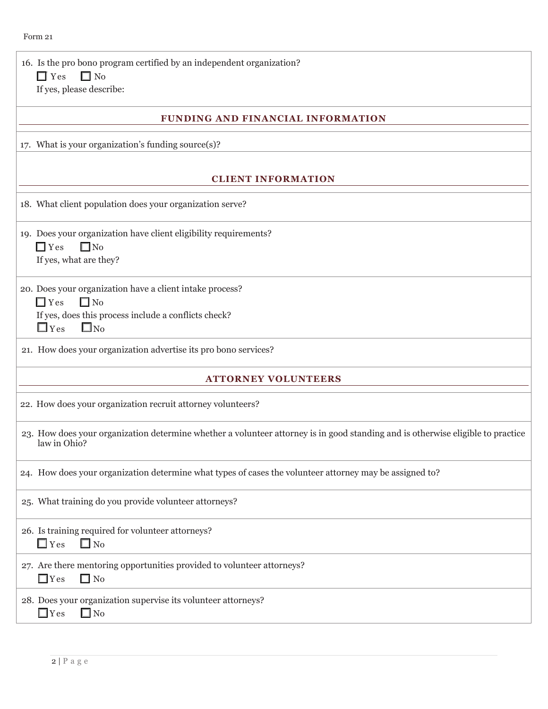16. Is the pro bono program certified by an independent organization?  $\Box$  Yes  $\Box$  No If yes, please describe:

## **FUNDING AND FINANCIAL INFORMATION**

17. What is your organization's funding source(s)?

## **CLIENT INFORMATION**

18. What client population does your organization serve?

19. Does your organization have client eligibility requirements?  $\Box$  Yes  $\Box$  No If yes, what are they?

20. Does your organization have a client intake process?  $\Box$  Yes  $\Box$  No

If yes, does this process include a conflicts check?

 $\Box$  Yes  $\Box$  No

21. How does your organization advertise its pro bono services?

#### **ATTORNEY VOLUNTEERS**

22. How does your organization recruit attorney volunteers?

23. How does your organization determine whether a volunteer attorney is in good standing and is otherwise eligible to practice law in Ohio?

24. How does your organization determine what types of cases the volunteer attorney may be assigned to?

25. What training do you provide volunteer attorneys?

26. Is training required for volunteer attorneys?  $\Box$  Yes  $\Box$  No.

27. Are there mentoring opportunities provided to volunteer attorneys?  $\Box$  Yes  $\Box$  No

28. Does your organization supervise its volunteer attorneys?  $\Box$  Yes  $\Box$  No